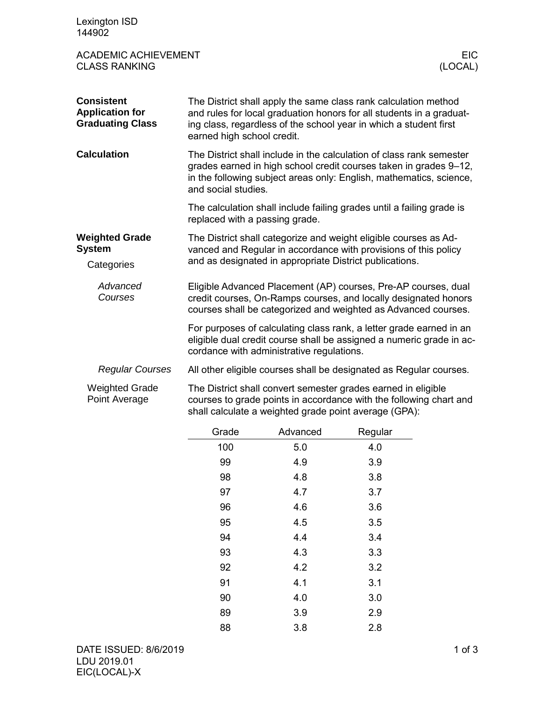| Lexington ISD<br>144902                                                |                                                         |          |                                                                                                                                                                                                                  |            |
|------------------------------------------------------------------------|---------------------------------------------------------|----------|------------------------------------------------------------------------------------------------------------------------------------------------------------------------------------------------------------------|------------|
| <b>ACADEMIC ACHIEVEMENT</b><br><b>CLASS RANKING</b>                    |                                                         |          | (LOCAL)                                                                                                                                                                                                          | <b>EIC</b> |
| <b>Consistent</b><br><b>Application for</b><br><b>Graduating Class</b> | earned high school credit.                              |          | The District shall apply the same class rank calculation method<br>and rules for local graduation honors for all students in a graduat-<br>ing class, regardless of the school year in which a student first     |            |
| <b>Calculation</b>                                                     | and social studies.                                     |          | The District shall include in the calculation of class rank semester<br>grades earned in high school credit courses taken in grades 9-12,<br>in the following subject areas only: English, mathematics, science, |            |
|                                                                        | replaced with a passing grade.                          |          | The calculation shall include failing grades until a failing grade is                                                                                                                                            |            |
| <b>Weighted Grade</b><br><b>System</b><br>Categories                   | and as designated in appropriate District publications. |          | The District shall categorize and weight eligible courses as Ad-<br>vanced and Regular in accordance with provisions of this policy                                                                              |            |
| Advanced<br>Courses                                                    |                                                         |          | Eligible Advanced Placement (AP) courses, Pre-AP courses, dual<br>credit courses, On-Ramps courses, and locally designated honors<br>courses shall be categorized and weighted as Advanced courses.              |            |
|                                                                        | cordance with administrative regulations.               |          | For purposes of calculating class rank, a letter grade earned in an<br>eligible dual credit course shall be assigned a numeric grade in ac-                                                                      |            |
| <b>Regular Courses</b>                                                 |                                                         |          | All other eligible courses shall be designated as Regular courses.                                                                                                                                               |            |
| <b>Weighted Grade</b><br>Point Average                                 | shall calculate a weighted grade point average (GPA):   |          | The District shall convert semester grades earned in eligible<br>courses to grade points in accordance with the following chart and                                                                              |            |
|                                                                        | Grade                                                   | Advanced | Regular                                                                                                                                                                                                          |            |

| Grade | Advanced | Regular |
|-------|----------|---------|
| 100   | 5.0      | 4.0     |
| 99    | 4.9      | 3.9     |
| 98    | 4.8      | 3.8     |
| 97    | 4.7      | 3.7     |
| 96    | 4.6      | 3.6     |
| 95    | 4.5      | 3.5     |
| 94    | 4.4      | 3.4     |
| 93    | 4.3      | 3.3     |
| 92    | 4.2      | 3.2     |
| 91    | 4.1      | 3.1     |
| 90    | 4.0      | 3.0     |
| 89    | 3.9      | 2.9     |
| 88    | 3.8      | 2.8     |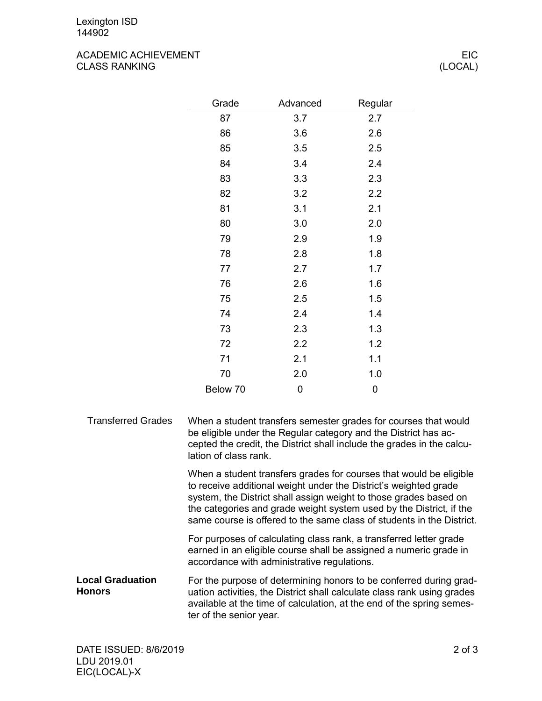## ACADEMIC ACHIEVEMENT EIC CLASS RANKING (LOCAL)

| Grade    | Advanced | Regular |
|----------|----------|---------|
| 87       | 3.7      | 2.7     |
| 86       | 3.6      | 2.6     |
| 85       | 3.5      | 2.5     |
| 84       | 3.4      | 2.4     |
| 83       | 3.3      | 2.3     |
| 82       | 3.2      | 2.2     |
| 81       | 3.1      | 2.1     |
| 80       | 3.0      | 2.0     |
| 79       | 2.9      | 1.9     |
| 78       | 2.8      | 1.8     |
| 77       | 2.7      | 1.7     |
| 76       | 2.6      | 1.6     |
| 75       | 2.5      | 1.5     |
| 74       | 2.4      | 1.4     |
| 73       | 2.3      | 1.3     |
| 72       | 2.2      | 1.2     |
| 71       | 2.1      | 1.1     |
| 70       | 2.0      | 1.0     |
| Below 70 | 0        | 0       |

When a student transfers semester grades for courses that would be eligible under the Regular category and the District has accepted the credit, the District shall include the grades in the calculation of class rank. Transferred Grades

> When a student transfers grades for courses that would be eligible to receive additional weight under the District's weighted grade system, the District shall assign weight to those grades based on the categories and grade weight system used by the District, if the same course is offered to the same class of students in the District.

For purposes of calculating class rank, a transferred letter grade earned in an eligible course shall be assigned a numeric grade in accordance with administrative regulations.

For the purpose of determining honors to be conferred during graduation activities, the District shall calculate class rank using grades available at the time of calculation, at the end of the spring semester of the senior year. **Local Graduation Honors**